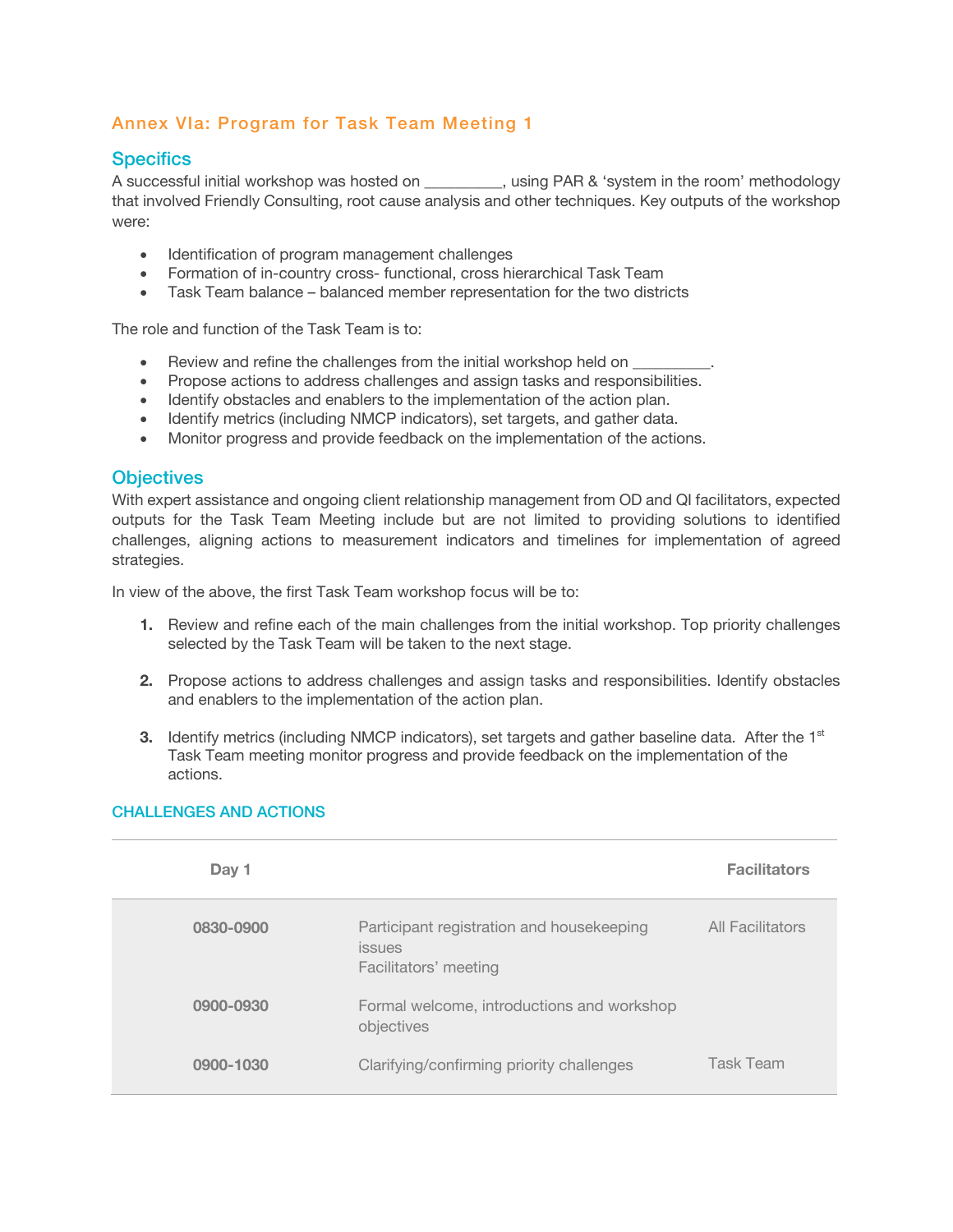## Annex VIa: Program for Task Team Meeting 1

### **Specifics**

A successful initial workshop was hosted on  $\qquad \qquad$ , using PAR & 'system in the room' methodology that involved Friendly Consulting, root cause analysis and other techniques. Key outputs of the workshop were:

- Identification of program management challenges
- Formation of in-country cross- functional, cross hierarchical Task Team
- Task Team balance balanced member representation for the two districts

The role and function of the Task Team is to:

- Review and refine the challenges from the initial workshop held on
- Propose actions to address challenges and assign tasks and responsibilities.
- Identify obstacles and enablers to the implementation of the action plan.
- Identify metrics (including NMCP indicators), set targets, and gather data.
- Monitor progress and provide feedback on the implementation of the actions.

### **Objectives**

With expert assistance and ongoing client relationship management from OD and QI facilitators, expected outputs for the Task Team Meeting include but are not limited to providing solutions to identified challenges, aligning actions to measurement indicators and timelines for implementation of agreed strategies.

In view of the above, the first Task Team workshop focus will be to:

- **1.** Review and refine each of the main challenges from the initial workshop. Top priority challenges selected by the Task Team will be taken to the next stage.
- **2.** Propose actions to address challenges and assign tasks and responsibilities. Identify obstacles and enablers to the implementation of the action plan.
- **3.** Identify metrics (including NMCP indicators), set targets and gather baseline data. After the 1<sup>st</sup> Task Team meeting monitor progress and provide feedback on the implementation of the actions.

| Day 1     |                                                                                     | <b>Facilitators</b> |
|-----------|-------------------------------------------------------------------------------------|---------------------|
| 0830-0900 | Participant registration and housekeeping<br><i>issues</i><br>Facilitators' meeting | All Facilitators    |
| 0900-0930 | Formal welcome, introductions and workshop<br>objectives                            |                     |
| 0900-1030 | Clarifying/confirming priority challenges                                           | Task Team           |

#### CHALLENGES AND ACTIONS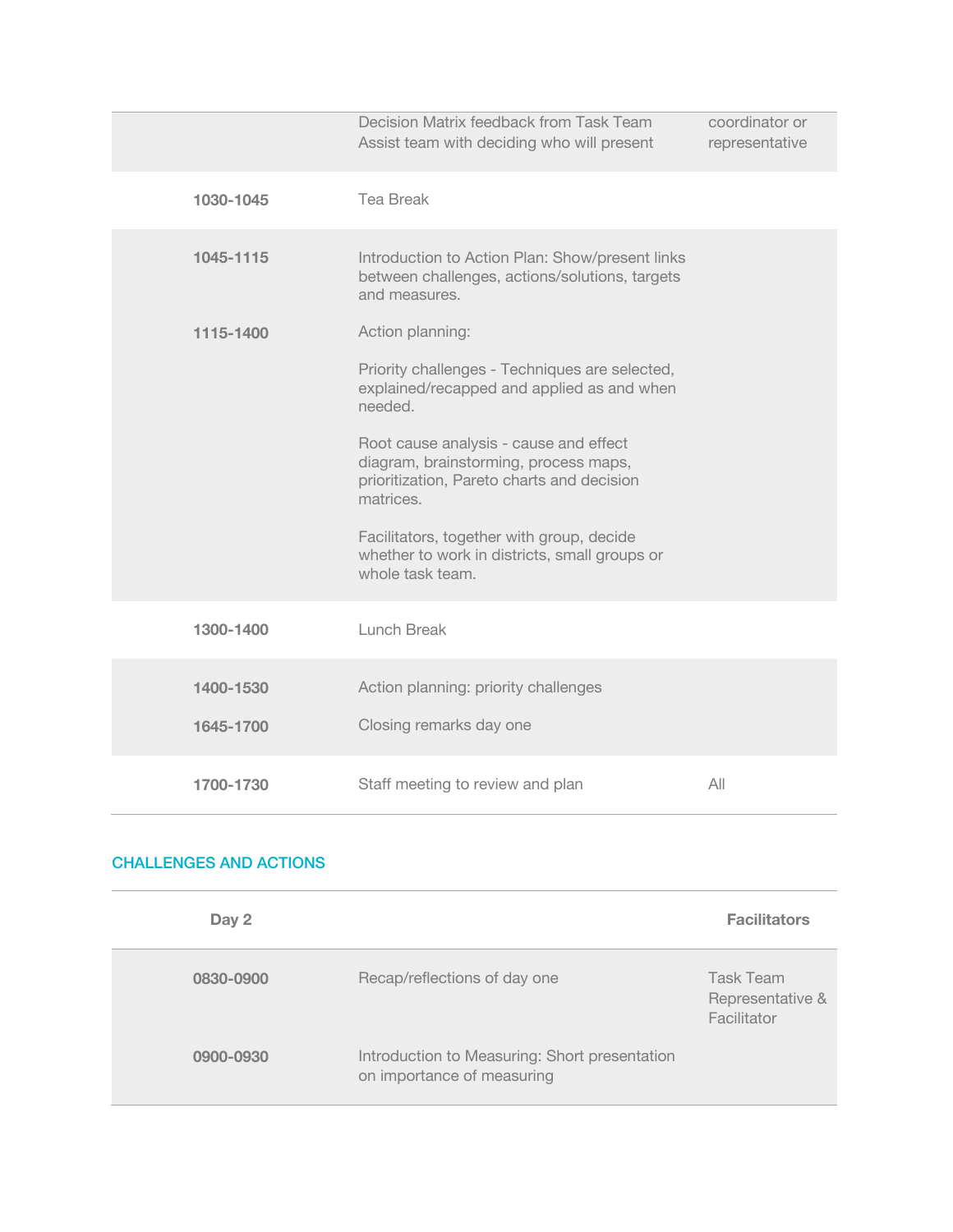|           | Decision Matrix feedback from Task Team<br>Assist team with deciding who will present                                                      | coordinator or<br>representative |
|-----------|--------------------------------------------------------------------------------------------------------------------------------------------|----------------------------------|
| 1030-1045 | <b>Tea Break</b>                                                                                                                           |                                  |
| 1045-1115 | Introduction to Action Plan: Show/present links<br>between challenges, actions/solutions, targets<br>and measures.                         |                                  |
| 1115-1400 | Action planning:                                                                                                                           |                                  |
|           | Priority challenges - Techniques are selected,<br>explained/recapped and applied as and when<br>needed.                                    |                                  |
|           | Root cause analysis - cause and effect<br>diagram, brainstorming, process maps,<br>prioritization, Pareto charts and decision<br>matrices. |                                  |
|           | Facilitators, together with group, decide<br>whether to work in districts, small groups or<br>whole task team.                             |                                  |
| 1300-1400 | Lunch Break                                                                                                                                |                                  |
| 1400-1530 | Action planning: priority challenges                                                                                                       |                                  |
| 1645-1700 | Closing remarks day one                                                                                                                    |                                  |
| 1700-1730 | Staff meeting to review and plan                                                                                                           | All                              |

# CHALLENGES AND ACTIONS

| Day 2     |                                                                             | <b>Facilitators</b>                          |
|-----------|-----------------------------------------------------------------------------|----------------------------------------------|
| 0830-0900 | Recap/reflections of day one                                                | Task Team<br>Representative &<br>Facilitator |
| 0900-0930 | Introduction to Measuring: Short presentation<br>on importance of measuring |                                              |